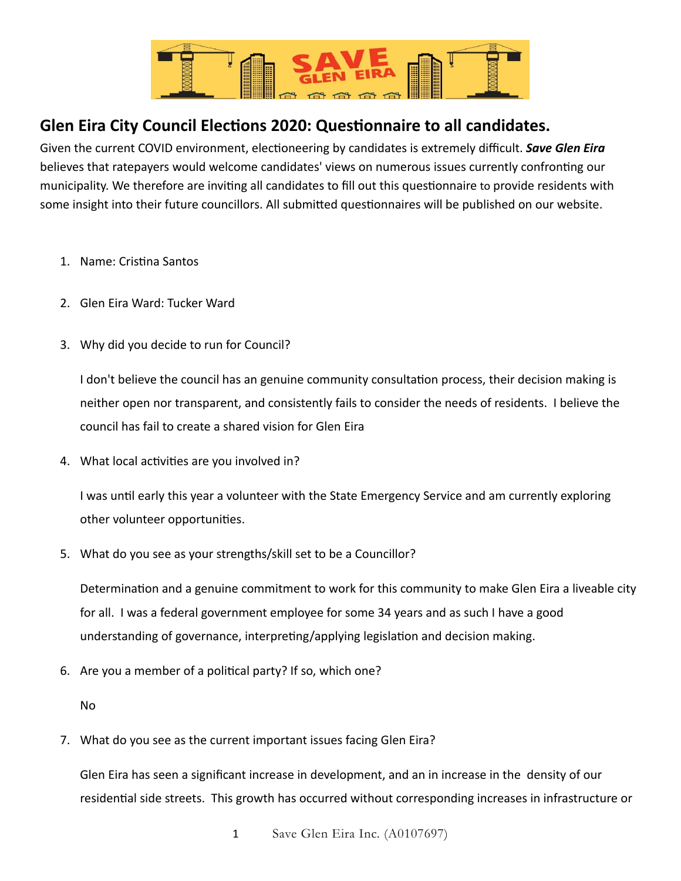

## **Glen Eira City Council Elections 2020: Questionnaire to all candidates.**

Given the current COVID environment, electioneering by candidates is extremely difficult. *Save Glen Eira* believes that ratepayers would welcome candidates' views on numerous issues currently confronting our municipality. We therefore are inviting all candidates to fill out this questionnaire to provide residents with some insight into their future councillors. All submitted questionnaires will be published on our website.

- 1. Name: Cristina Santos
- 2. Glen Eira Ward: Tucker Ward
- 3. Why did you decide to run for Council?

I don't believe the council has an genuine community consultation process, their decision making is neither open nor transparent, and consistently fails to consider the needs of residents. I believe the council has fail to create a shared vision for Glen Eira

4. What local activities are you involved in?

I was until early this year a volunteer with the State Emergency Service and am currently exploring other volunteer opportunities.

5. What do you see as your strengths/skill set to be a Councillor?

Determination and a genuine commitment to work for this community to make Glen Eira a liveable city for all. I was a federal government employee for some 34 years and as such I have a good understanding of governance, interpreting/applying legislation and decision making.

6. Are you a member of a political party? If so, which one?

No

7. What do you see as the current important issues facing Glen Eira?

Glen Eira has seen a significant increase in development, and an in increase in the density of our residential side streets. This growth has occurred without corresponding increases in infrastructure or

1 Save Glen Eira Inc. (A0107697)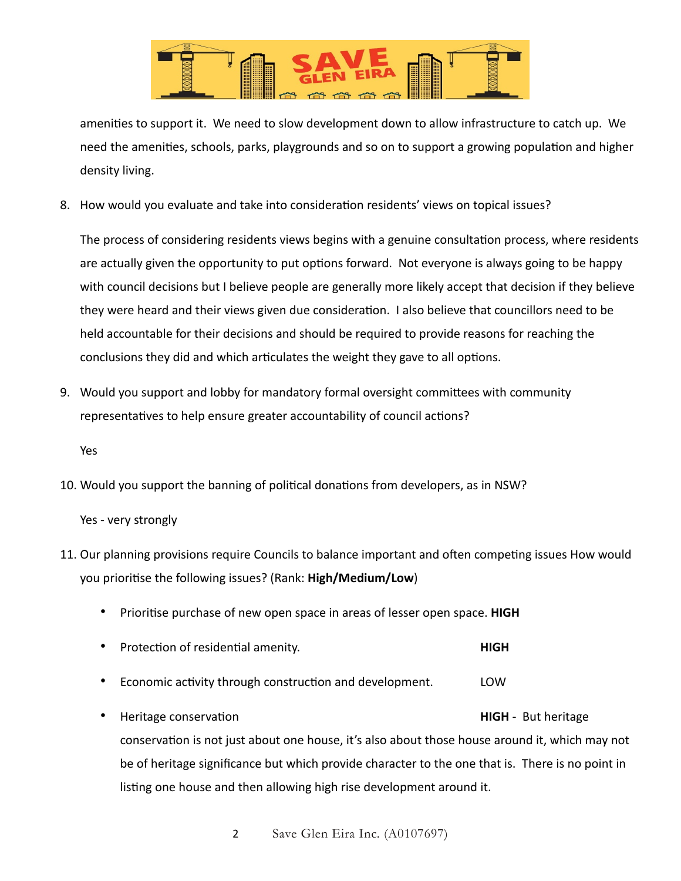

amenities to support it. We need to slow development down to allow infrastructure to catch up. We need the amenities, schools, parks, playgrounds and so on to support a growing population and higher density living.

8. How would you evaluate and take into consideration residents' views on topical issues?

The process of considering residents views begins with a genuine consultation process, where residents are actually given the opportunity to put options forward. Not everyone is always going to be happy with council decisions but I believe people are generally more likely accept that decision if they believe they were heard and their views given due consideration. I also believe that councillors need to be held accountable for their decisions and should be required to provide reasons for reaching the conclusions they did and which articulates the weight they gave to all options.

9. Would you support and lobby for mandatory formal oversight committees with community representatives to help ensure greater accountability of council actions?

Yes

10. Would you support the banning of political donations from developers, as in NSW?

Yes - very strongly

- 11. Our planning provisions require Councils to balance important and often competing issues How would you prioritise the following issues? (Rank: High/Medium/Low)
	- Priori5se purchase of new open space in areas of lesser open space. **HIGH**
	- **Protection of residential amenity. HIGH**
	- Economic activity through construction and development. LOW
	- Heritage conservation **Figure 2018 HIGH** But heritage conservation is not just about one house, it's also about those house around it, which may not be of heritage significance but which provide character to the one that is. There is no point in listing one house and then allowing high rise development around it.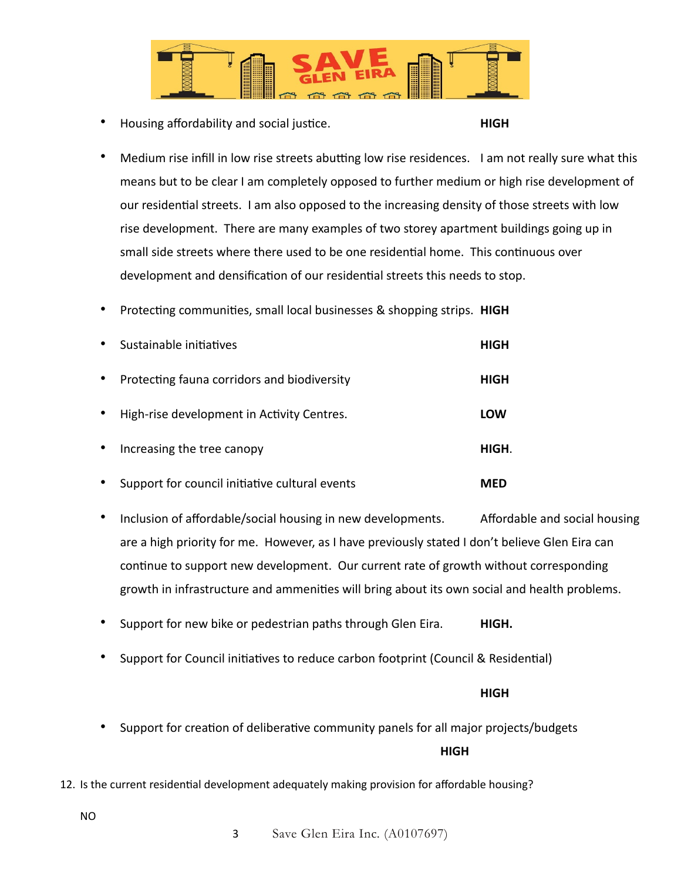

**Housing affordability and social justice. HIGH** 

- Medium rise infill in low rise streets abutting low rise residences. I am not really sure what this means but to be clear I am completely opposed to further medium or high rise development of our residential streets. I am also opposed to the increasing density of those streets with low rise development. There are many examples of two storey apartment buildings going up in small side streets where there used to be one residential home. This continuous over development and densification of our residential streets this needs to stop.
- Protecting communities, small local businesses & shopping strips. HIGH

| $\bullet$ | Sustainable initiatives                        | HIGH       |
|-----------|------------------------------------------------|------------|
| $\bullet$ | Protecting fauna corridors and biodiversity    | HIGH       |
| $\bullet$ | High-rise development in Activity Centres.     | <b>LOW</b> |
|           | Increasing the tree canopy                     | HIGH.      |
| $\bullet$ | Support for council initiative cultural events | MFD        |

- Inclusion of affordable/social housing in new developments. Affordable and social housing are a high priority for me. However, as I have previously stated I don't believe Glen Eira can continue to support new development. Our current rate of growth without corresponding growth in infrastructure and ammenities will bring about its own social and health problems.
- Support for new bike or pedestrian paths through Glen Eira. **HIGH.**
- Support for Council initiatives to reduce carbon footprint (Council & Residential)

## **HIGH** STATE STATE STATE STATE STATE STATE STATE STATE STATE STATE STATE STATE STATE STATE STATE STATE STATE STA

- Support for creation of deliberative community panels for all major projects/budgets **HIGH HIGH**
- 12. Is the current residential development adequately making provision for affordable housing?

NO

3 Save Glen Eira Inc. (A0107697)